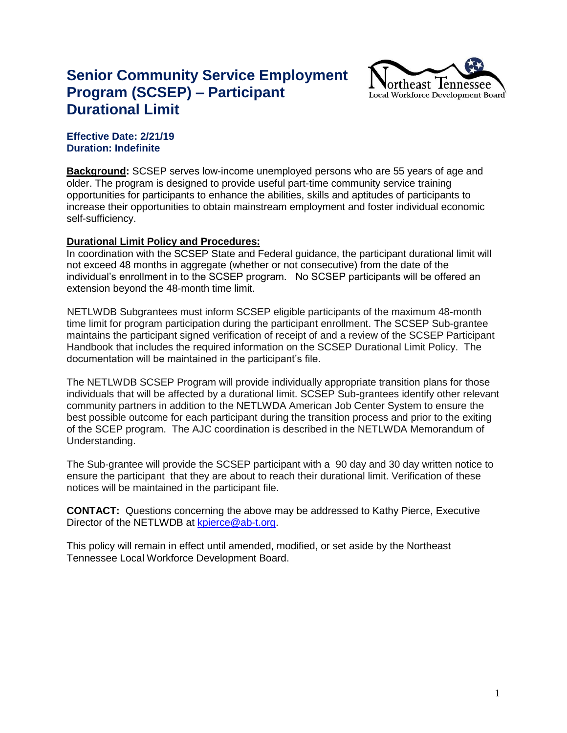## **Senior Community Service Employment Program (SCSEP) – Participant Durational Limit**



## **Effective Date: 2/21/19 Duration: Indefinite**

**Background:** SCSEP serves low-income unemployed persons who are 55 years of age and older. The program is designed to provide useful part-time community service training opportunities for participants to enhance the abilities, skills and aptitudes of participants to increase their opportunities to obtain mainstream employment and foster individual economic self-sufficiency.

## **Durational Limit Policy and Procedures:**

In coordination with the SCSEP State and Federal guidance, the participant durational limit will not exceed 48 months in aggregate (whether or not consecutive) from the date of the individual's enrollment in to the SCSEP program. No SCSEP participants will be offered an extension beyond the 48-month time limit.

NETLWDB Subgrantees must inform SCSEP eligible participants of the maximum 48-month time limit for program participation during the participant enrollment. The SCSEP Sub-grantee maintains the participant signed verification of receipt of and a review of the SCSEP Participant Handbook that includes the required information on the SCSEP Durational Limit Policy. The documentation will be maintained in the participant's file.

The NETLWDB SCSEP Program will provide individually appropriate transition plans for those individuals that will be affected by a durational limit. SCSEP Sub-grantees identify other relevant community partners in addition to the NETLWDA American Job Center System to ensure the best possible outcome for each participant during the transition process and prior to the exiting of the SCEP program. The AJC coordination is described in the NETLWDA Memorandum of Understanding.

The Sub-grantee will provide the SCSEP participant with a 90 day and 30 day written notice to ensure the participant that they are about to reach their durational limit. Verification of these notices will be maintained in the participant file.

**CONTACT:** Questions concerning the above may be addressed to Kathy Pierce, Executive Director of the NETLWDB at [kpierce@ab-t.org.](mailto:kpierce@ab-t.org)

This policy will remain in effect until amended, modified, or set aside by the Northeast Tennessee Local Workforce Development Board.